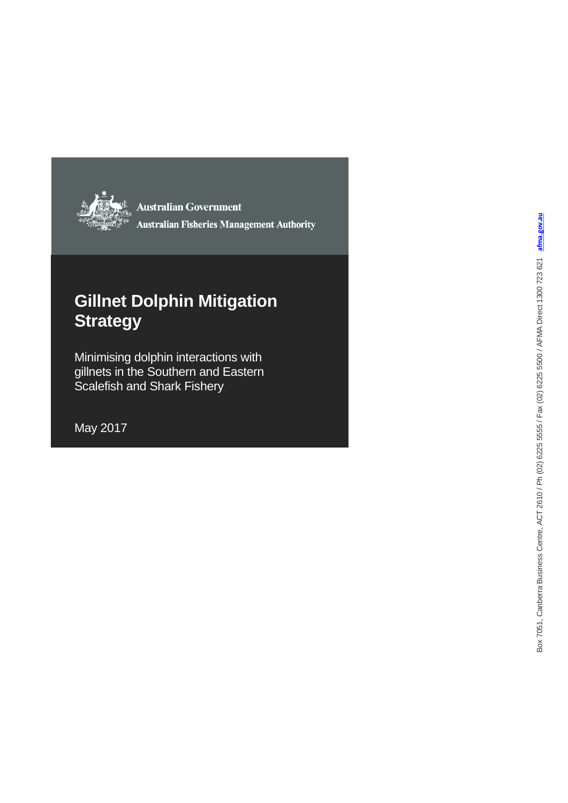

**Australian Government Australian Fisheries Management Authority** 

## **Gillnet Dolphin Mitigation Strategy**

Minimising dolphin interactions with gillnets in the Southern and Eastern Scalefish and Shark Fishery

May 2017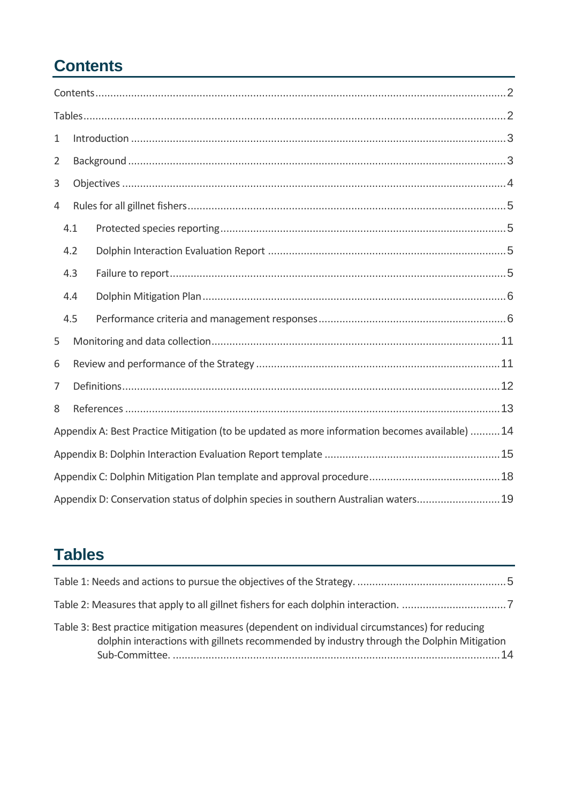# <span id="page-1-0"></span>**Contents**

| $\mathbf{1}$   |                                                                                                |  |  |  |  |  |
|----------------|------------------------------------------------------------------------------------------------|--|--|--|--|--|
| $\overline{2}$ |                                                                                                |  |  |  |  |  |
| 3              |                                                                                                |  |  |  |  |  |
| 4              |                                                                                                |  |  |  |  |  |
| 4.1            |                                                                                                |  |  |  |  |  |
| 4.2            |                                                                                                |  |  |  |  |  |
| 4.3            |                                                                                                |  |  |  |  |  |
| 4.4            |                                                                                                |  |  |  |  |  |
| 4.5            |                                                                                                |  |  |  |  |  |
| 5              |                                                                                                |  |  |  |  |  |
| 6              |                                                                                                |  |  |  |  |  |
| 7              |                                                                                                |  |  |  |  |  |
| 8              |                                                                                                |  |  |  |  |  |
|                | Appendix A: Best Practice Mitigation (to be updated as more information becomes available)  14 |  |  |  |  |  |
|                |                                                                                                |  |  |  |  |  |
|                |                                                                                                |  |  |  |  |  |
|                | Appendix D: Conservation status of dolphin species in southern Australian waters 19            |  |  |  |  |  |

# <span id="page-1-1"></span>**Tables**

| Table 3: Best practice mitigation measures (dependent on individual circumstances) for reducing<br>dolphin interactions with gillnets recommended by industry through the Dolphin Mitigation |  |
|----------------------------------------------------------------------------------------------------------------------------------------------------------------------------------------------|--|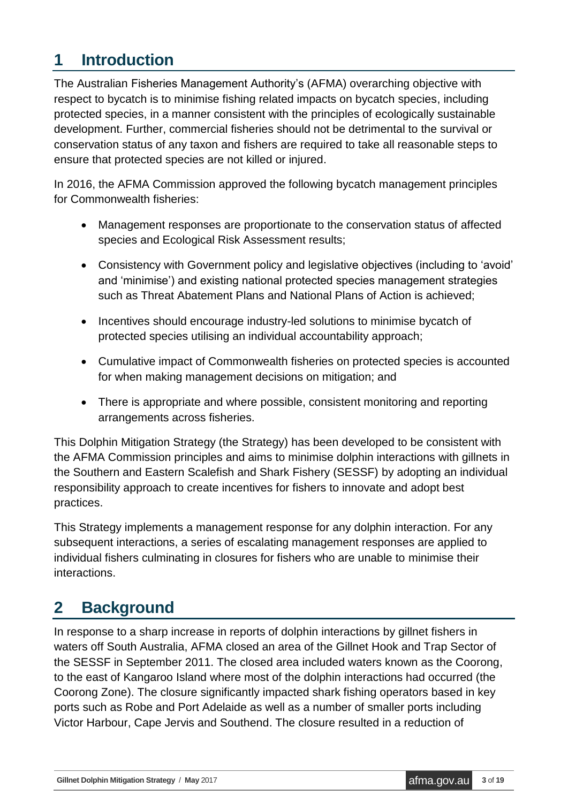## <span id="page-2-0"></span>**1 Introduction**

The Australian Fisheries Management Authority's (AFMA) overarching objective with respect to bycatch is to minimise fishing related impacts on bycatch species, including protected species, in a manner consistent with the principles of ecologically sustainable development. Further, commercial fisheries should not be detrimental to the survival or conservation status of any taxon and fishers are required to take all reasonable steps to ensure that protected species are not killed or injured.

In 2016, the AFMA Commission approved the following bycatch management principles for Commonwealth fisheries:

- Management responses are proportionate to the conservation status of affected species and Ecological Risk Assessment results;
- Consistency with Government policy and legislative objectives (including to 'avoid' and 'minimise') and existing national protected species management strategies such as Threat Abatement Plans and National Plans of Action is achieved;
- Incentives should encourage industry-led solutions to minimise bycatch of protected species utilising an individual accountability approach;
- Cumulative impact of Commonwealth fisheries on protected species is accounted for when making management decisions on mitigation; and
- There is appropriate and where possible, consistent monitoring and reporting arrangements across fisheries.

This Dolphin Mitigation Strategy (the Strategy) has been developed to be consistent with the AFMA Commission principles and aims to minimise dolphin interactions with gillnets in the Southern and Eastern Scalefish and Shark Fishery (SESSF) by adopting an individual responsibility approach to create incentives for fishers to innovate and adopt best practices.

This Strategy implements a management response for any dolphin interaction. For any subsequent interactions, a series of escalating management responses are applied to individual fishers culminating in closures for fishers who are unable to minimise their interactions.

## <span id="page-2-1"></span>**2 Background**

In response to a sharp increase in reports of dolphin interactions by gillnet fishers in waters off South Australia, AFMA closed an area of the Gillnet Hook and Trap Sector of the SESSF in September 2011. The closed area included waters known as the Coorong, to the east of Kangaroo Island where most of the dolphin interactions had occurred (the Coorong Zone). The closure significantly impacted shark fishing operators based in key ports such as Robe and Port Adelaide as well as a number of smaller ports including Victor Harbour, Cape Jervis and Southend. The closure resulted in a reduction of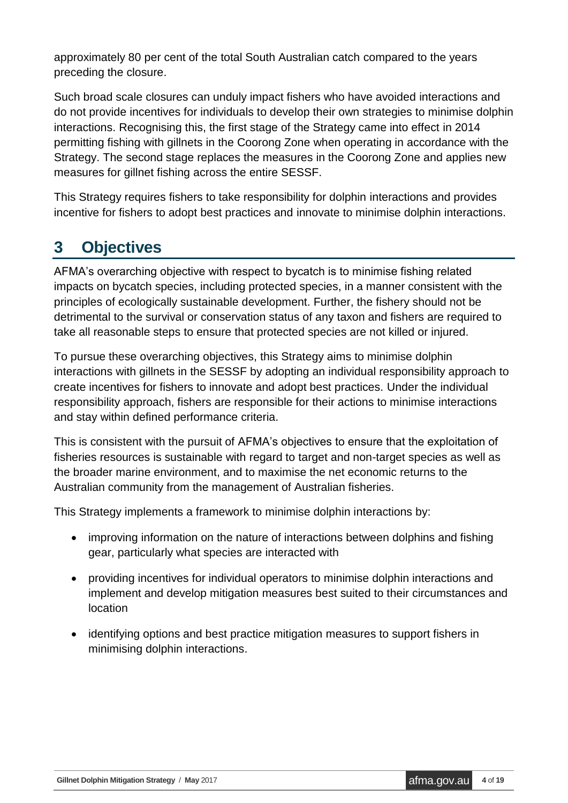approximately 80 per cent of the total South Australian catch compared to the years preceding the closure.

Such broad scale closures can unduly impact fishers who have avoided interactions and do not provide incentives for individuals to develop their own strategies to minimise dolphin interactions. Recognising this, the first stage of the Strategy came into effect in 2014 permitting fishing with gillnets in the Coorong Zone when operating in accordance with the Strategy. The second stage replaces the measures in the Coorong Zone and applies new measures for gillnet fishing across the entire SESSF.

This Strategy requires fishers to take responsibility for dolphin interactions and provides incentive for fishers to adopt best practices and innovate to minimise dolphin interactions.

## <span id="page-3-0"></span>**3 Objectives**

AFMA's overarching objective with respect to bycatch is to minimise fishing related impacts on bycatch species, including protected species, in a manner consistent with the principles of ecologically sustainable development. Further, the fishery should not be detrimental to the survival or conservation status of any taxon and fishers are required to take all reasonable steps to ensure that protected species are not killed or injured.

To pursue these overarching objectives, this Strategy aims to minimise dolphin interactions with gillnets in the SESSF by adopting an individual responsibility approach to create incentives for fishers to innovate and adopt best practices. Under the individual responsibility approach, fishers are responsible for their actions to minimise interactions and stay within defined performance criteria.

This is consistent with the pursuit of AFMA's objectives to ensure that the exploitation of fisheries resources is sustainable with regard to target and non-target species as well as the broader marine environment, and to maximise the net economic returns to the Australian community from the management of Australian fisheries.

This Strategy implements a framework to minimise dolphin interactions by:

- improving information on the nature of interactions between dolphins and fishing gear, particularly what species are interacted with
- providing incentives for individual operators to minimise dolphin interactions and implement and develop mitigation measures best suited to their circumstances and location
- <span id="page-3-1"></span> identifying options and best practice mitigation measures to support fishers in minimising dolphin interactions.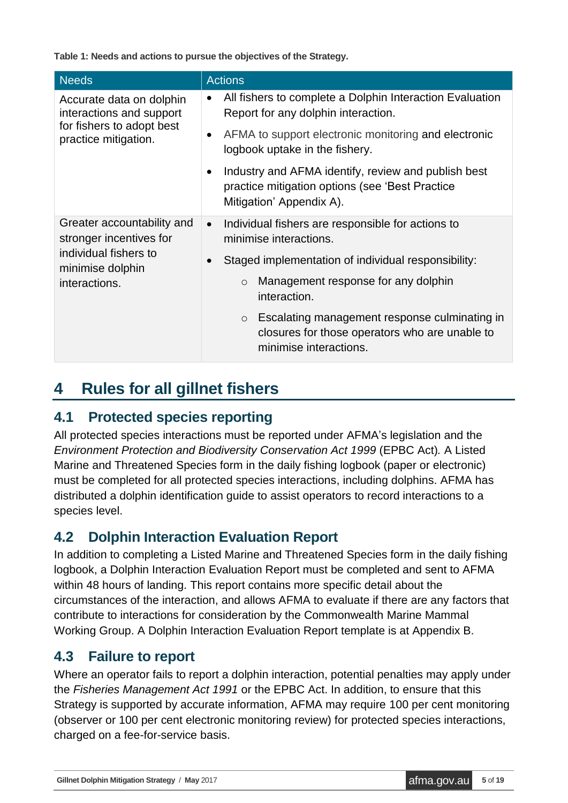**Table 1: Needs and actions to pursue the objectives of the Strategy.**

| <b>Needs</b>                                          | <b>Actions</b>                                                                                                                                  |
|-------------------------------------------------------|-------------------------------------------------------------------------------------------------------------------------------------------------|
| Accurate data on dolphin<br>interactions and support  | All fishers to complete a Dolphin Interaction Evaluation<br>$\bullet$<br>Report for any dolphin interaction.                                    |
| for fishers to adopt best<br>practice mitigation.     | AFMA to support electronic monitoring and electronic<br>$\bullet$<br>logbook uptake in the fishery.                                             |
|                                                       | Industry and AFMA identify, review and publish best<br>$\bullet$<br>practice mitigation options (see 'Best Practice<br>Mitigation' Appendix A). |
| Greater accountability and<br>stronger incentives for | Individual fishers are responsible for actions to<br>$\bullet$<br>minimise interactions.                                                        |
| individual fishers to<br>minimise dolphin             | Staged implementation of individual responsibility:<br>$\bullet$                                                                                |
| interactions.                                         | Management response for any dolphin<br>$\circ$<br>interaction.                                                                                  |
|                                                       | Escalating management response culminating in<br>$\circ$<br>closures for those operators who are unable to<br>minimise interactions.            |

## <span id="page-4-0"></span>**4 Rules for all gillnet fishers**

#### <span id="page-4-1"></span>**4.1 Protected species reporting**

All protected species interactions must be reported under AFMA's legislation and the *Environment Protection and Biodiversity Conservation Act 1999* (EPBC Act)*.* A Listed Marine and Threatened Species form in the daily fishing logbook (paper or electronic) must be completed for all protected species interactions, including dolphins. AFMA has distributed a dolphin identification guide to assist operators to record interactions to a species level.

#### <span id="page-4-2"></span>**4.2 Dolphin Interaction Evaluation Report**

In addition to completing a Listed Marine and Threatened Species form in the daily fishing logbook, a Dolphin Interaction Evaluation Report must be completed and sent to AFMA within 48 hours of landing. This report contains more specific detail about the circumstances of the interaction, and allows AFMA to evaluate if there are any factors that contribute to interactions for consideration by the Commonwealth Marine Mammal Working Group. A Dolphin Interaction Evaluation Report template is at Appendix B.

#### <span id="page-4-3"></span>**4.3 Failure to report**

Where an operator fails to report a dolphin interaction, potential penalties may apply under the *Fisheries Management Act 1991* or the EPBC Act. In addition, to ensure that this Strategy is supported by accurate information, AFMA may require 100 per cent monitoring (observer or 100 per cent electronic monitoring review) for protected species interactions, charged on a fee-for-service basis.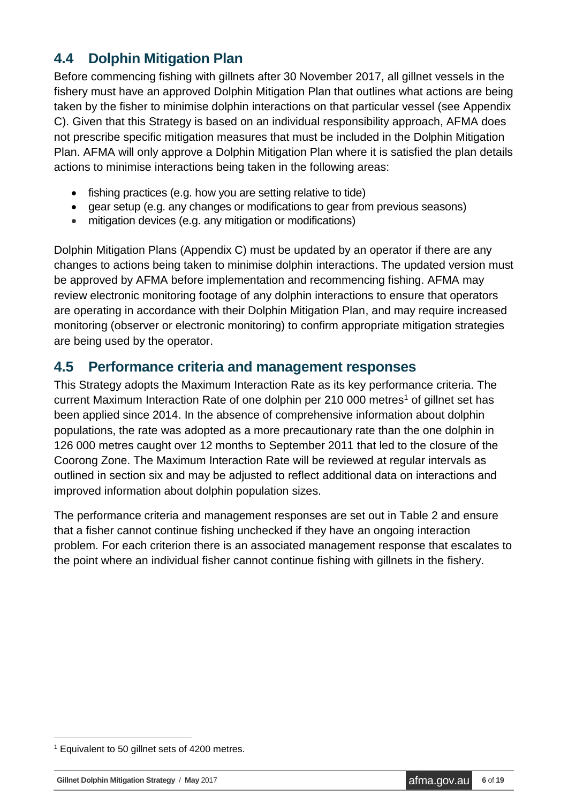#### <span id="page-5-0"></span>**4.4 Dolphin Mitigation Plan**

Before commencing fishing with gillnets after 30 November 2017, all gillnet vessels in the fishery must have an approved Dolphin Mitigation Plan that outlines what actions are being taken by the fisher to minimise dolphin interactions on that particular vessel (see Appendix C). Given that this Strategy is based on an individual responsibility approach, AFMA does not prescribe specific mitigation measures that must be included in the Dolphin Mitigation Plan. AFMA will only approve a Dolphin Mitigation Plan where it is satisfied the plan details actions to minimise interactions being taken in the following areas:

- fishing practices (e.g. how you are setting relative to tide)
- gear setup (e.g. any changes or modifications to gear from previous seasons)
- mitigation devices (e.g. any mitigation or modifications)

Dolphin Mitigation Plans (Appendix C) must be updated by an operator if there are any changes to actions being taken to minimise dolphin interactions. The updated version must be approved by AFMA before implementation and recommencing fishing. AFMA may review electronic monitoring footage of any dolphin interactions to ensure that operators are operating in accordance with their Dolphin Mitigation Plan, and may require increased monitoring (observer or electronic monitoring) to confirm appropriate mitigation strategies are being used by the operator.

#### <span id="page-5-1"></span>**4.5 Performance criteria and management responses**

This Strategy adopts the Maximum Interaction Rate as its key performance criteria. The current Maximum Interaction Rate of one dolphin per 210 000 metres<sup>1</sup> of gillnet set has been applied since 2014. In the absence of comprehensive information about dolphin populations, the rate was adopted as a more precautionary rate than the one dolphin in 126 000 metres caught over 12 months to September 2011 that led to the closure of the Coorong Zone. The Maximum Interaction Rate will be reviewed at regular intervals as outlined in section six and may be adjusted to reflect additional data on interactions and improved information about dolphin population sizes.

<span id="page-5-2"></span>The performance criteria and management responses are set out in Table 2 and ensure that a fisher cannot continue fishing unchecked if they have an ongoing interaction problem. For each criterion there is an associated management response that escalates to the point where an individual fisher cannot continue fishing with gillnets in the fishery.

<sup>1</sup> <sup>1</sup> Equivalent to 50 gillnet sets of 4200 metres.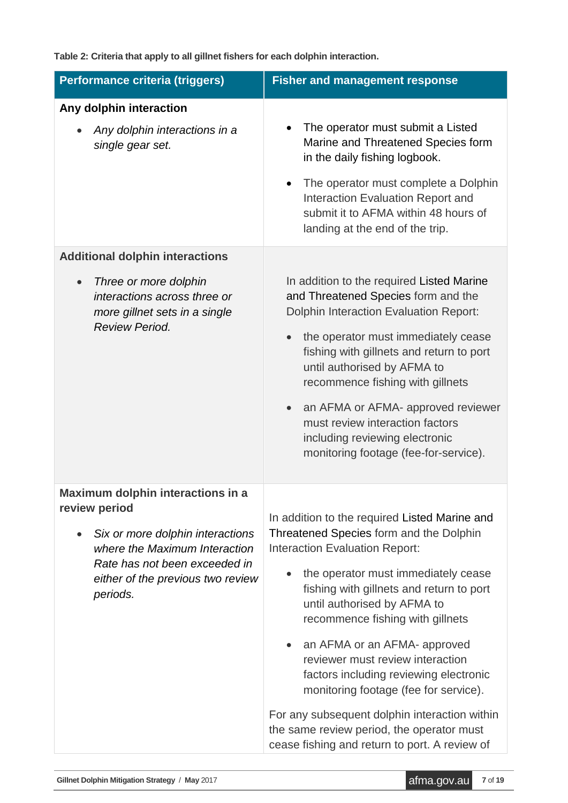**Table 2: Criteria that apply to all gillnet fishers for each dolphin interaction.**

| Performance criteria (triggers)                                                                                                                                      | <b>Fisher and management response</b>                                                                                                                                                                                                                                                                                                                                                                                                                                                                                                                                                         |  |  |  |  |
|----------------------------------------------------------------------------------------------------------------------------------------------------------------------|-----------------------------------------------------------------------------------------------------------------------------------------------------------------------------------------------------------------------------------------------------------------------------------------------------------------------------------------------------------------------------------------------------------------------------------------------------------------------------------------------------------------------------------------------------------------------------------------------|--|--|--|--|
| Any dolphin interaction                                                                                                                                              |                                                                                                                                                                                                                                                                                                                                                                                                                                                                                                                                                                                               |  |  |  |  |
| Any dolphin interactions in a<br>single gear set.                                                                                                                    | The operator must submit a Listed<br>Marine and Threatened Species form<br>in the daily fishing logbook.<br>The operator must complete a Dolphin<br>Interaction Evaluation Report and<br>submit it to AFMA within 48 hours of<br>landing at the end of the trip.                                                                                                                                                                                                                                                                                                                              |  |  |  |  |
| <b>Additional dolphin interactions</b>                                                                                                                               |                                                                                                                                                                                                                                                                                                                                                                                                                                                                                                                                                                                               |  |  |  |  |
| Three or more dolphin<br>interactions across three or<br>more gillnet sets in a single<br><b>Review Period.</b>                                                      | In addition to the required Listed Marine<br>and Threatened Species form and the<br><b>Dolphin Interaction Evaluation Report:</b><br>the operator must immediately cease<br>fishing with gillnets and return to port<br>until authorised by AFMA to<br>recommence fishing with gillnets<br>an AFMA or AFMA- approved reviewer<br>must review interaction factors<br>including reviewing electronic<br>monitoring footage (fee-for-service).                                                                                                                                                   |  |  |  |  |
| Maximum dolphin interactions in a                                                                                                                                    |                                                                                                                                                                                                                                                                                                                                                                                                                                                                                                                                                                                               |  |  |  |  |
| review period<br>Six or more dolphin interactions<br>where the Maximum Interaction<br>Rate has not been exceeded in<br>either of the previous two review<br>periods. | In addition to the required Listed Marine and<br>Threatened Species form and the Dolphin<br><b>Interaction Evaluation Report:</b><br>the operator must immediately cease<br>fishing with gillnets and return to port<br>until authorised by AFMA to<br>recommence fishing with gillnets<br>an AFMA or an AFMA- approved<br>reviewer must review interaction<br>factors including reviewing electronic<br>monitoring footage (fee for service).<br>For any subsequent dolphin interaction within<br>the same review period, the operator must<br>cease fishing and return to port. A review of |  |  |  |  |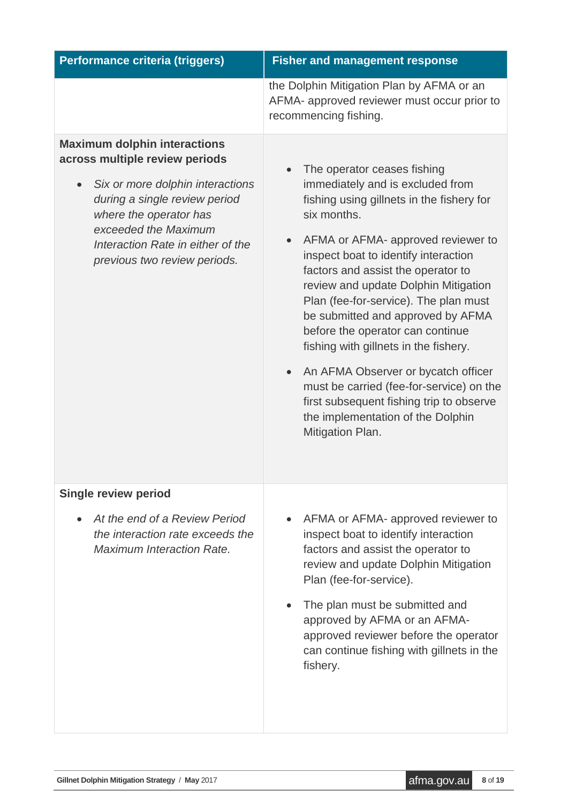| Performance criteria (triggers)                                                                                                                                                                                                                                   | <b>Fisher and management response</b>                                                                                                                                                                                                                                                                                                                                                                                                                                                                                                                                                                                                      |
|-------------------------------------------------------------------------------------------------------------------------------------------------------------------------------------------------------------------------------------------------------------------|--------------------------------------------------------------------------------------------------------------------------------------------------------------------------------------------------------------------------------------------------------------------------------------------------------------------------------------------------------------------------------------------------------------------------------------------------------------------------------------------------------------------------------------------------------------------------------------------------------------------------------------------|
|                                                                                                                                                                                                                                                                   | the Dolphin Mitigation Plan by AFMA or an<br>AFMA- approved reviewer must occur prior to<br>recommencing fishing.                                                                                                                                                                                                                                                                                                                                                                                                                                                                                                                          |
| <b>Maximum dolphin interactions</b><br>across multiple review periods<br>Six or more dolphin interactions<br>during a single review period<br>where the operator has<br>exceeded the Maximum<br>Interaction Rate in either of the<br>previous two review periods. | The operator ceases fishing<br>immediately and is excluded from<br>fishing using gillnets in the fishery for<br>six months.<br>AFMA or AFMA- approved reviewer to<br>inspect boat to identify interaction<br>factors and assist the operator to<br>review and update Dolphin Mitigation<br>Plan (fee-for-service). The plan must<br>be submitted and approved by AFMA<br>before the operator can continue<br>fishing with gillnets in the fishery.<br>An AFMA Observer or bycatch officer<br>must be carried (fee-for-service) on the<br>first subsequent fishing trip to observe<br>the implementation of the Dolphin<br>Mitigation Plan. |
| <b>Single review period</b>                                                                                                                                                                                                                                       |                                                                                                                                                                                                                                                                                                                                                                                                                                                                                                                                                                                                                                            |
| At the end of a Review Period<br>the interaction rate exceeds the<br><b>Maximum Interaction Rate.</b>                                                                                                                                                             | AFMA or AFMA- approved reviewer to<br>inspect boat to identify interaction<br>factors and assist the operator to<br>review and update Dolphin Mitigation<br>Plan (fee-for-service).<br>The plan must be submitted and<br>approved by AFMA or an AFMA-<br>approved reviewer before the operator<br>can continue fishing with gillnets in the<br>fishery.                                                                                                                                                                                                                                                                                    |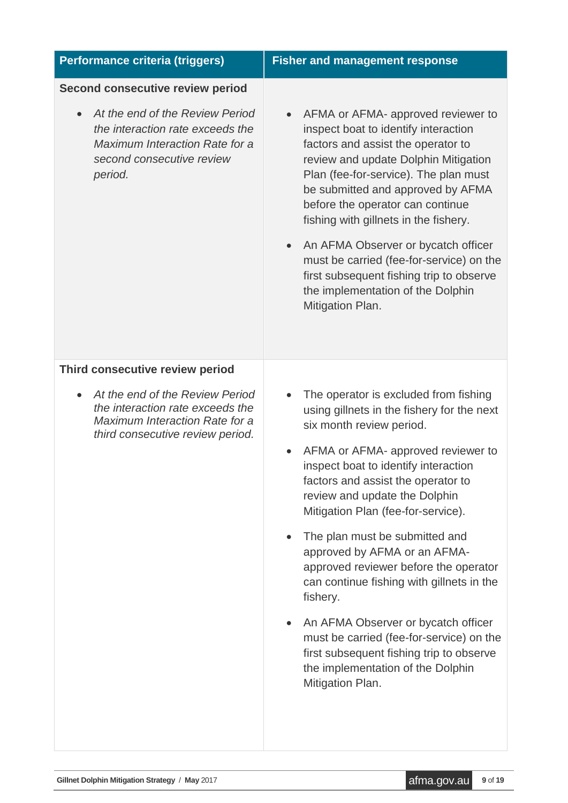| Performance criteria (triggers)                                                                                                                        | <b>Fisher and management response</b>                                                                                                                                                                                                                                                                                                                                                                                                                                                                                                                                                                                                                                               |  |  |  |  |
|--------------------------------------------------------------------------------------------------------------------------------------------------------|-------------------------------------------------------------------------------------------------------------------------------------------------------------------------------------------------------------------------------------------------------------------------------------------------------------------------------------------------------------------------------------------------------------------------------------------------------------------------------------------------------------------------------------------------------------------------------------------------------------------------------------------------------------------------------------|--|--|--|--|
| <b>Second consecutive review period</b>                                                                                                                |                                                                                                                                                                                                                                                                                                                                                                                                                                                                                                                                                                                                                                                                                     |  |  |  |  |
| At the end of the Review Period<br>the interaction rate exceeds the<br><b>Maximum Interaction Rate for a</b><br>second consecutive review<br>period.   | AFMA or AFMA- approved reviewer to<br>inspect boat to identify interaction<br>factors and assist the operator to<br>review and update Dolphin Mitigation<br>Plan (fee-for-service). The plan must<br>be submitted and approved by AFMA<br>before the operator can continue<br>fishing with gillnets in the fishery.<br>An AFMA Observer or bycatch officer<br>must be carried (fee-for-service) on the<br>first subsequent fishing trip to observe<br>the implementation of the Dolphin<br>Mitigation Plan.                                                                                                                                                                         |  |  |  |  |
| Third consecutive review period                                                                                                                        |                                                                                                                                                                                                                                                                                                                                                                                                                                                                                                                                                                                                                                                                                     |  |  |  |  |
| At the end of the Review Period<br>$\bullet$<br>the interaction rate exceeds the<br>Maximum Interaction Rate for a<br>third consecutive review period. | The operator is excluded from fishing<br>using gillnets in the fishery for the next<br>six month review period.<br>AFMA or AFMA- approved reviewer to<br>$\bullet$<br>inspect boat to identify interaction<br>factors and assist the operator to<br>review and update the Dolphin<br>Mitigation Plan (fee-for-service).<br>The plan must be submitted and<br>approved by AFMA or an AFMA-<br>approved reviewer before the operator<br>can continue fishing with gillnets in the<br>fishery.<br>An AFMA Observer or bycatch officer<br>must be carried (fee-for-service) on the<br>first subsequent fishing trip to observe<br>the implementation of the Dolphin<br>Mitigation Plan. |  |  |  |  |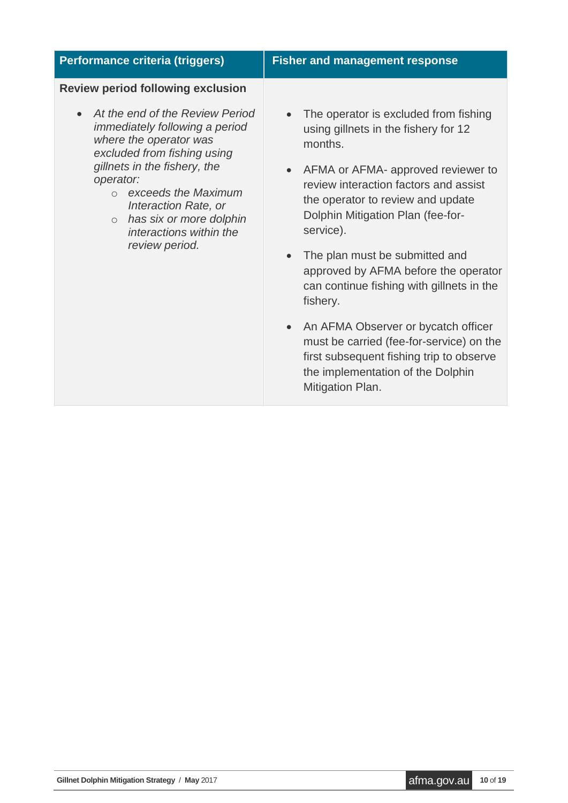| Performance criteria (triggers)                                                                                                                                                                                     | <b>Fisher and management response</b>                                                                                                                                                  |  |  |  |  |
|---------------------------------------------------------------------------------------------------------------------------------------------------------------------------------------------------------------------|----------------------------------------------------------------------------------------------------------------------------------------------------------------------------------------|--|--|--|--|
| <b>Review period following exclusion</b>                                                                                                                                                                            |                                                                                                                                                                                        |  |  |  |  |
| At the end of the Review Period<br><i>immediately following a period</i><br>where the operator was<br>excluded from fishing using<br>gillnets in the fishery, the<br>operator:<br>exceeds the Maximum<br>$\bigcirc$ | The operator is excluded from fishing<br>using gillnets in the fishery for 12<br>months.<br>AFMA or AFMA- approved reviewer to<br>$\bullet$<br>review interaction factors and assist   |  |  |  |  |
| Interaction Rate, or<br>has six or more dolphin<br>$\circ$<br>interactions within the                                                                                                                               | the operator to review and update<br>Dolphin Mitigation Plan (fee-for-<br>service).                                                                                                    |  |  |  |  |
| review period.                                                                                                                                                                                                      | The plan must be submitted and<br>approved by AFMA before the operator<br>can continue fishing with gillnets in the<br>fishery.                                                        |  |  |  |  |
|                                                                                                                                                                                                                     | • An AFMA Observer or bycatch officer<br>must be carried (fee-for-service) on the<br>first subsequent fishing trip to observe<br>the implementation of the Dolphin<br>Mitigation Plan. |  |  |  |  |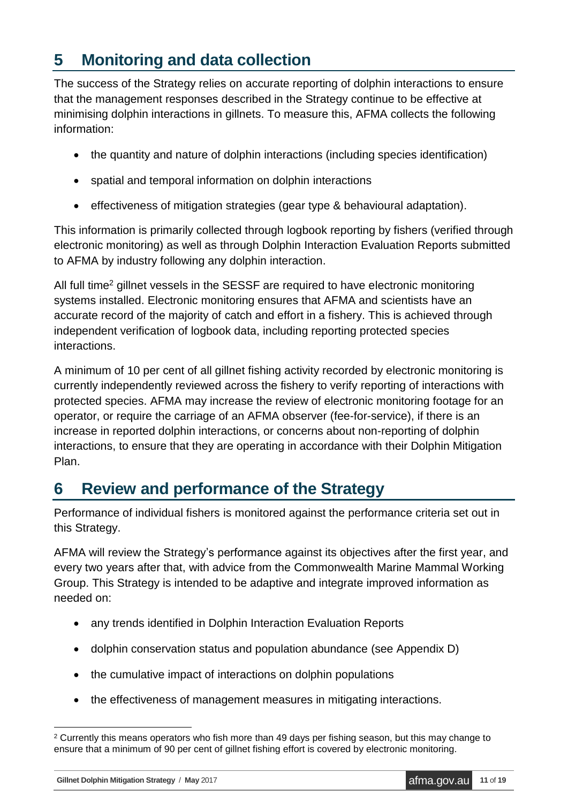## <span id="page-10-0"></span>**5 Monitoring and data collection**

The success of the Strategy relies on accurate reporting of dolphin interactions to ensure that the management responses described in the Strategy continue to be effective at minimising dolphin interactions in gillnets. To measure this, AFMA collects the following information:

- the quantity and nature of dolphin interactions (including species identification)
- spatial and temporal information on dolphin interactions
- effectiveness of mitigation strategies (gear type & behavioural adaptation).

This information is primarily collected through logbook reporting by fishers (verified through electronic monitoring) as well as through Dolphin Interaction Evaluation Reports submitted to AFMA by industry following any dolphin interaction.

All full time<sup>2</sup> gillnet vessels in the SESSF are required to have electronic monitoring systems installed. Electronic monitoring ensures that AFMA and scientists have an accurate record of the majority of catch and effort in a fishery. This is achieved through independent verification of logbook data, including reporting protected species interactions.

A minimum of 10 per cent of all gillnet fishing activity recorded by electronic monitoring is currently independently reviewed across the fishery to verify reporting of interactions with protected species. AFMA may increase the review of electronic monitoring footage for an operator, or require the carriage of an AFMA observer (fee-for-service), if there is an increase in reported dolphin interactions, or concerns about non-reporting of dolphin interactions, to ensure that they are operating in accordance with their Dolphin Mitigation Plan.

## <span id="page-10-1"></span>**6 Review and performance of the Strategy**

Performance of individual fishers is monitored against the performance criteria set out in this Strategy.

AFMA will review the Strategy's performance against its objectives after the first year, and every two years after that, with advice from the Commonwealth Marine Mammal Working Group. This Strategy is intended to be adaptive and integrate improved information as needed on:

- any trends identified in Dolphin Interaction Evaluation Reports
- dolphin conservation status and population abundance (see Appendix D)
- the cumulative impact of interactions on dolphin populations
- the effectiveness of management measures in mitigating interactions.

1

<sup>&</sup>lt;sup>2</sup> Currently this means operators who fish more than 49 days per fishing season, but this may change to ensure that a minimum of 90 per cent of gillnet fishing effort is covered by electronic monitoring.

**Gillnet Dolphin Mitigation Strategy** / May 2017<br>**Afma.gov.au 11** of **19**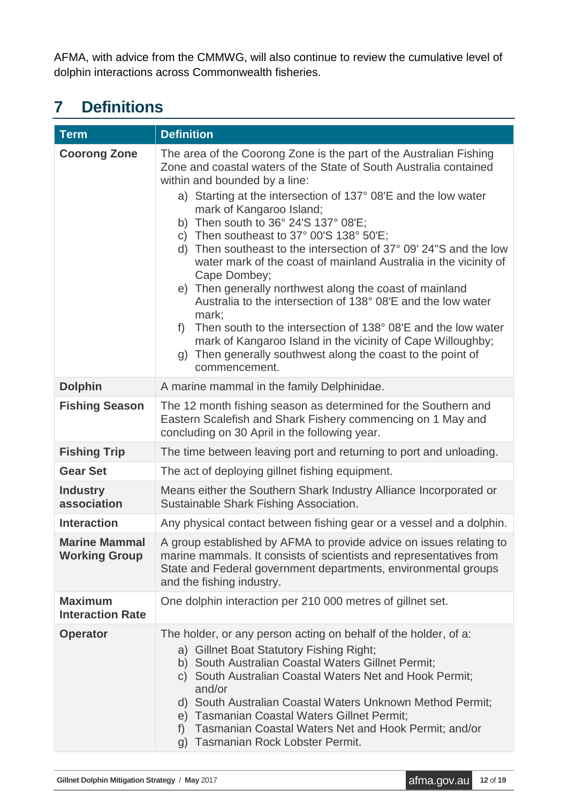AFMA, with advice from the CMMWG, will also continue to review the cumulative level of dolphin interactions across Commonwealth fisheries.

# <span id="page-11-0"></span>**7 Definitions**

| <b>Term</b>                                  | <b>Definition</b>                                                                                                                                                                                                                                                                                                                                                                                                                                                                                                                                                                                                                                                                                                                                                                                                                                                                                  |  |  |  |  |
|----------------------------------------------|----------------------------------------------------------------------------------------------------------------------------------------------------------------------------------------------------------------------------------------------------------------------------------------------------------------------------------------------------------------------------------------------------------------------------------------------------------------------------------------------------------------------------------------------------------------------------------------------------------------------------------------------------------------------------------------------------------------------------------------------------------------------------------------------------------------------------------------------------------------------------------------------------|--|--|--|--|
| <b>Coorong Zone</b>                          | The area of the Coorong Zone is the part of the Australian Fishing<br>Zone and coastal waters of the State of South Australia contained<br>within and bounded by a line:<br>a) Starting at the intersection of 137° 08'E and the low water<br>mark of Kangaroo Island;<br>b) Then south to 36° 24'S 137° 08'E;<br>c) Then southeast to $37^{\circ}$ 00'S $138^{\circ}$ 50'E;<br>d) Then southeast to the intersection of 37° 09' 24"S and the low<br>water mark of the coast of mainland Australia in the vicinity of<br>Cape Dombey;<br>e) Then generally northwest along the coast of mainland<br>Australia to the intersection of 138° 08'E and the low water<br>mark;<br>Then south to the intersection of 138° 08'E and the low water<br>$f$ )<br>mark of Kangaroo Island in the vicinity of Cape Willoughby;<br>g) Then generally southwest along the coast to the point of<br>commencement. |  |  |  |  |
| <b>Dolphin</b>                               | A marine mammal in the family Delphinidae.                                                                                                                                                                                                                                                                                                                                                                                                                                                                                                                                                                                                                                                                                                                                                                                                                                                         |  |  |  |  |
| <b>Fishing Season</b>                        | The 12 month fishing season as determined for the Southern and<br>Eastern Scalefish and Shark Fishery commencing on 1 May and<br>concluding on 30 April in the following year.                                                                                                                                                                                                                                                                                                                                                                                                                                                                                                                                                                                                                                                                                                                     |  |  |  |  |
| <b>Fishing Trip</b>                          | The time between leaving port and returning to port and unloading.                                                                                                                                                                                                                                                                                                                                                                                                                                                                                                                                                                                                                                                                                                                                                                                                                                 |  |  |  |  |
| <b>Gear Set</b>                              | The act of deploying gillnet fishing equipment.                                                                                                                                                                                                                                                                                                                                                                                                                                                                                                                                                                                                                                                                                                                                                                                                                                                    |  |  |  |  |
| <b>Industry</b><br>association               | Means either the Southern Shark Industry Alliance Incorporated or<br>Sustainable Shark Fishing Association.                                                                                                                                                                                                                                                                                                                                                                                                                                                                                                                                                                                                                                                                                                                                                                                        |  |  |  |  |
| <b>Interaction</b>                           | Any physical contact between fishing gear or a vessel and a dolphin.                                                                                                                                                                                                                                                                                                                                                                                                                                                                                                                                                                                                                                                                                                                                                                                                                               |  |  |  |  |
| <b>Marine Mammal</b><br><b>Working Group</b> | A group established by AFMA to provide advice on issues relating to<br>marine mammals. It consists of scientists and representatives from<br>State and Federal government departments, environmental groups<br>and the fishing industry.                                                                                                                                                                                                                                                                                                                                                                                                                                                                                                                                                                                                                                                           |  |  |  |  |
| <b>Maximum</b><br><b>Interaction Rate</b>    | One dolphin interaction per 210 000 metres of gillnet set.                                                                                                                                                                                                                                                                                                                                                                                                                                                                                                                                                                                                                                                                                                                                                                                                                                         |  |  |  |  |
| <b>Operator</b>                              | The holder, or any person acting on behalf of the holder, of a:<br>a) Gillnet Boat Statutory Fishing Right;<br>b) South Australian Coastal Waters Gillnet Permit;<br>c) South Australian Coastal Waters Net and Hook Permit;<br>and/or<br>d) South Australian Coastal Waters Unknown Method Permit;<br>e) Tasmanian Coastal Waters Gillnet Permit;<br>Tasmanian Coastal Waters Net and Hook Permit; and/or<br>f)<br>Tasmanian Rock Lobster Permit.<br>g)                                                                                                                                                                                                                                                                                                                                                                                                                                           |  |  |  |  |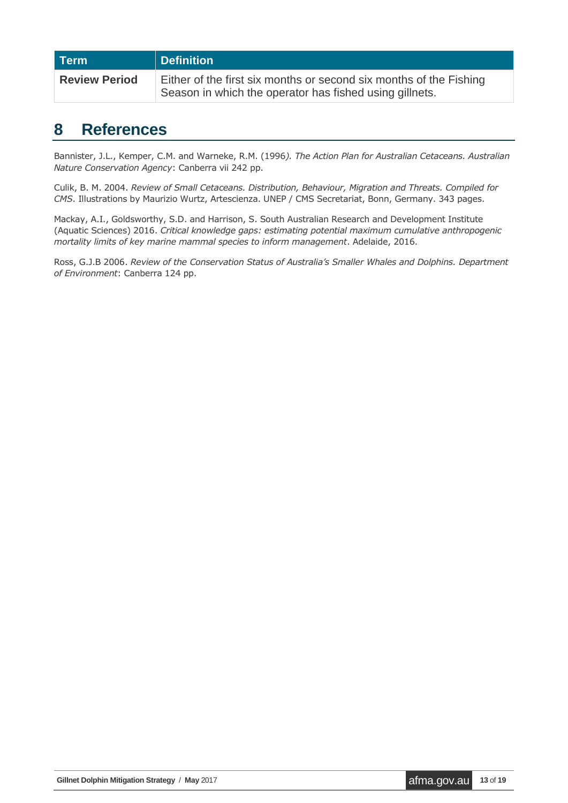| Term                 | Definition                                                                                                                    |
|----------------------|-------------------------------------------------------------------------------------------------------------------------------|
| <b>Review Period</b> | Either of the first six months or second six months of the Fishing<br>Season in which the operator has fished using gillnets. |

#### <span id="page-12-0"></span>**8 References**

Bannister, J.L., Kemper, C.M. and Warneke, R.M. (1996*). The Action Plan for Australian Cetaceans. Australian Nature Conservation Agency*: Canberra vii 242 pp.

Culik, B. M. 2004. *Review of Small Cetaceans. Distribution, Behaviour, Migration and Threats. Compiled for CMS*. Illustrations by Maurizio Wurtz, Artescienza. UNEP / CMS Secretariat, Bonn, Germany. 343 pages.

Mackay, A.I., Goldsworthy, S.D. and Harrison, S. South Australian Research and Development Institute (Aquatic Sciences) 2016. *Critical knowledge gaps: estimating potential maximum cumulative anthropogenic mortality limits of key marine mammal species to inform management*. Adelaide, 2016.

Ross, G.J.B 2006. *Review of the Conservation Status of Australia's Smaller Whales and Dolphins. Department of Environment*: Canberra 124 pp.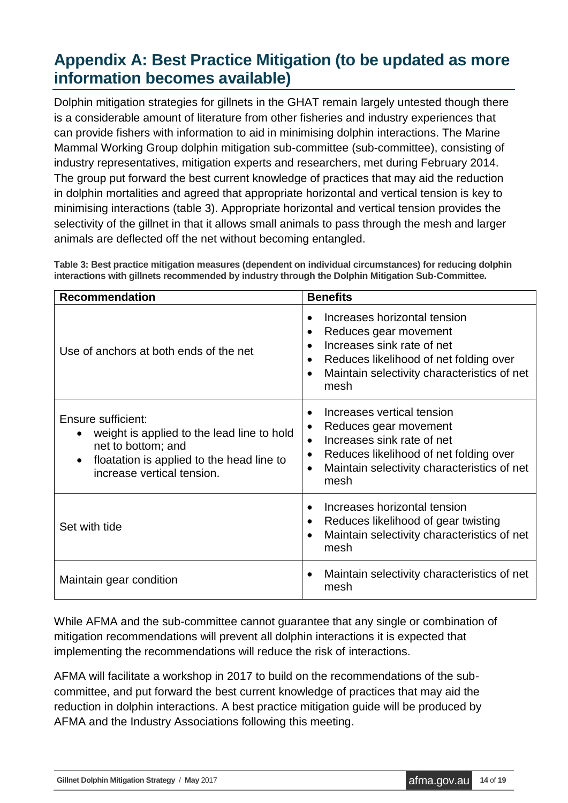## <span id="page-13-0"></span>**Appendix A: Best Practice Mitigation (to be updated as more information becomes available)**

Dolphin mitigation strategies for gillnets in the GHAT remain largely untested though there is a considerable amount of literature from other fisheries and industry experiences that can provide fishers with information to aid in minimising dolphin interactions. The Marine Mammal Working Group dolphin mitigation sub-committee (sub-committee), consisting of industry representatives, mitigation experts and researchers, met during February 2014. The group put forward the best current knowledge of practices that may aid the reduction in dolphin mortalities and agreed that appropriate horizontal and vertical tension is key to minimising interactions (table 3). Appropriate horizontal and vertical tension provides the selectivity of the gillnet in that it allows small animals to pass through the mesh and larger animals are deflected off the net without becoming entangled.

| <b>Recommendation</b>                                                                                                                                             | <b>Benefits</b>                                                                                                                                                                                              |  |  |  |  |
|-------------------------------------------------------------------------------------------------------------------------------------------------------------------|--------------------------------------------------------------------------------------------------------------------------------------------------------------------------------------------------------------|--|--|--|--|
| Use of anchors at both ends of the net                                                                                                                            | Increases horizontal tension<br>Reduces gear movement<br>٠<br>Increases sink rate of net<br>Reduces likelihood of net folding over<br>$\bullet$<br>Maintain selectivity characteristics of net<br>mesh       |  |  |  |  |
| Ensure sufficient:<br>weight is applied to the lead line to hold<br>net to bottom; and<br>floatation is applied to the head line to<br>increase vertical tension. | Increases vertical tension<br>Reduces gear movement<br>Increases sink rate of net<br>$\bullet$<br>Reduces likelihood of net folding over<br>Maintain selectivity characteristics of net<br>$\bullet$<br>mesh |  |  |  |  |
| Set with tide                                                                                                                                                     | Increases horizontal tension<br>Reduces likelihood of gear twisting<br>$\bullet$<br>Maintain selectivity characteristics of net<br>$\bullet$<br>mesh                                                         |  |  |  |  |
| Maintain gear condition                                                                                                                                           | Maintain selectivity characteristics of net<br>mesh                                                                                                                                                          |  |  |  |  |

<span id="page-13-1"></span>**Table 3: Best practice mitigation measures (dependent on individual circumstances) for reducing dolphin interactions with gillnets recommended by industry through the Dolphin Mitigation Sub-Committee.**

While AFMA and the sub-committee cannot guarantee that any single or combination of mitigation recommendations will prevent all dolphin interactions it is expected that implementing the recommendations will reduce the risk of interactions.

AFMA will facilitate a workshop in 2017 to build on the recommendations of the subcommittee, and put forward the best current knowledge of practices that may aid the reduction in dolphin interactions. A best practice mitigation guide will be produced by AFMA and the Industry Associations following this meeting.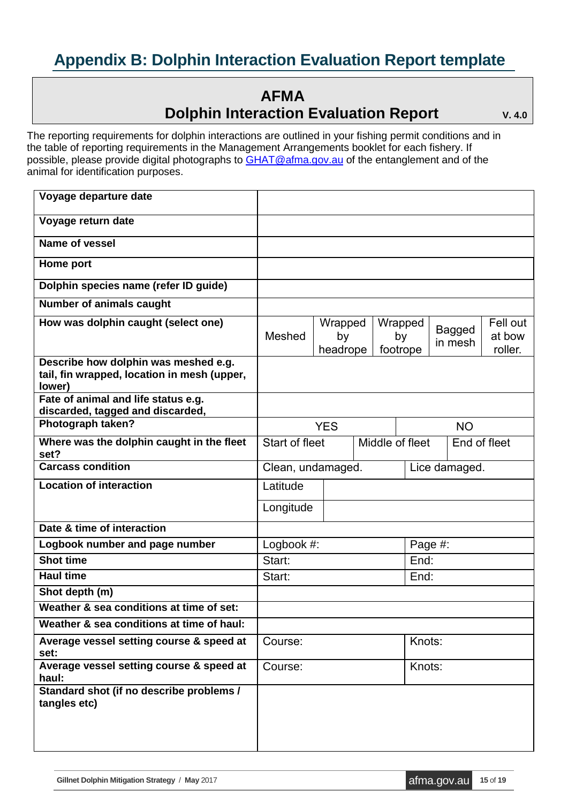## <span id="page-14-0"></span>**Appendix B: Dolphin Interaction Evaluation Report template**

#### **AFMA Dolphin Interaction Evaluation Report**  $V. 4.0$

The reporting requirements for dolphin interactions are outlined in your fishing permit conditions and in the table of reporting requirements in the Management Arrangements booklet for each fishery. If possible, please provide digital photographs to [GHAT@afma.gov.au](mailto:GHAT@afma.gov.au) of the entanglement and of the animal for identification purposes.

| Voyage departure date                                                                         |                   |                                   |  |                |               |         |        |                   |
|-----------------------------------------------------------------------------------------------|-------------------|-----------------------------------|--|----------------|---------------|---------|--------|-------------------|
| Voyage return date                                                                            |                   |                                   |  |                |               |         |        |                   |
| <b>Name of vessel</b>                                                                         |                   |                                   |  |                |               |         |        |                   |
| Home port                                                                                     |                   |                                   |  |                |               |         |        |                   |
| Dolphin species name (refer ID guide)                                                         |                   |                                   |  |                |               |         |        |                   |
| <b>Number of animals caught</b>                                                               |                   |                                   |  |                |               |         |        |                   |
| How was dolphin caught (select one)                                                           |                   | Wrapped                           |  | Wrapped        |               |         | Bagged | Fell out          |
|                                                                                               | Meshed            | by<br>headrope                    |  | by<br>footrope |               | in mesh |        | at bow<br>roller. |
| Describe how dolphin was meshed e.g.<br>tail, fin wrapped, location in mesh (upper,<br>lower) |                   |                                   |  |                |               |         |        |                   |
| Fate of animal and life status e.g.<br>discarded, tagged and discarded,                       |                   |                                   |  |                |               |         |        |                   |
| Photograph taken?                                                                             |                   | <b>YES</b>                        |  |                | <b>NO</b>     |         |        |                   |
| Where was the dolphin caught in the fleet<br>set?                                             |                   | Start of fleet<br>Middle of fleet |  | End of fleet   |               |         |        |                   |
| <b>Carcass condition</b>                                                                      | Clean, undamaged. |                                   |  |                | Lice damaged. |         |        |                   |
| <b>Location of interaction</b>                                                                | Latitude          |                                   |  |                |               |         |        |                   |
|                                                                                               | Longitude         |                                   |  |                |               |         |        |                   |
| Date & time of interaction                                                                    |                   |                                   |  |                |               |         |        |                   |
| Logbook number and page number                                                                | Logbook #:        |                                   |  |                | Page #:       |         |        |                   |
| <b>Shot time</b>                                                                              | Start:            |                                   |  |                | End:          |         |        |                   |
| <b>Haul time</b>                                                                              | Start:            |                                   |  |                | End:          |         |        |                   |
| Shot depth (m)                                                                                |                   |                                   |  |                |               |         |        |                   |
| Weather & sea conditions at time of set:                                                      |                   |                                   |  |                |               |         |        |                   |
| Weather & sea conditions at time of haul:                                                     |                   |                                   |  |                |               |         |        |                   |
| Average vessel setting course & speed at<br>set:                                              | Course:           |                                   |  |                | Knots:        |         |        |                   |
| Average vessel setting course & speed at<br>haul:                                             | Course:           |                                   |  |                | Knots:        |         |        |                   |
| Standard shot (if no describe problems /<br>tangles etc)                                      |                   |                                   |  |                |               |         |        |                   |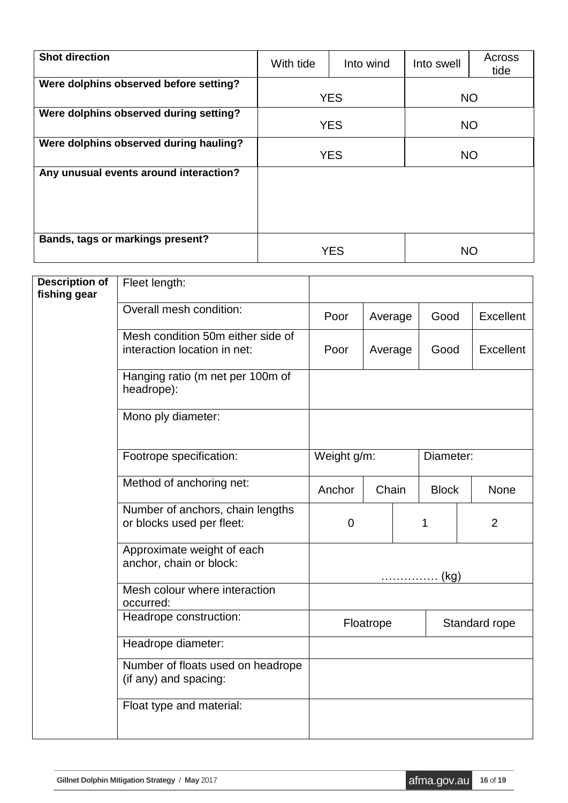| <b>Shot direction</b>                  | With tide  | Into wind  | Into swell | Across<br>tide |  |
|----------------------------------------|------------|------------|------------|----------------|--|
| Were dolphins observed before setting? | <b>YES</b> |            | <b>NO</b>  |                |  |
| Were dolphins observed during setting? |            | <b>YES</b> |            | <b>NO</b>      |  |
| Were dolphins observed during hauling? |            | <b>YES</b> | <b>NO</b>  |                |  |
| Any unusual events around interaction? |            |            |            |                |  |
| Bands, tags or markings present?       |            | YES        | NO         |                |  |

| <b>Description of</b><br>fishing gear | Fleet length:                                                     |             |         |  |               |           |
|---------------------------------------|-------------------------------------------------------------------|-------------|---------|--|---------------|-----------|
|                                       | Overall mesh condition:                                           | Poor        | Average |  | Good          | Excellent |
|                                       | Mesh condition 50m either side of<br>interaction location in net: | Poor        | Average |  | Good          | Excellent |
|                                       | Hanging ratio (m net per 100m of<br>headrope):                    |             |         |  |               |           |
|                                       | Mono ply diameter:                                                |             |         |  |               |           |
|                                       | Footrope specification:                                           | Weight g/m: |         |  | Diameter:     |           |
|                                       | Method of anchoring net:                                          | Anchor      | Chain   |  | <b>Block</b>  | None      |
|                                       | Number of anchors, chain lengths<br>or blocks used per fleet:     | $\mathbf 0$ |         |  | 1             | 2         |
|                                       | Approximate weight of each<br>anchor, chain or block:             | (kg)        |         |  |               |           |
|                                       | Mesh colour where interaction<br>occurred:                        |             |         |  |               |           |
|                                       | Headrope construction:                                            | Floatrope   |         |  | Standard rope |           |
|                                       | Headrope diameter:                                                |             |         |  |               |           |
|                                       | Number of floats used on headrope<br>(if any) and spacing:        |             |         |  |               |           |
|                                       | Float type and material:                                          |             |         |  |               |           |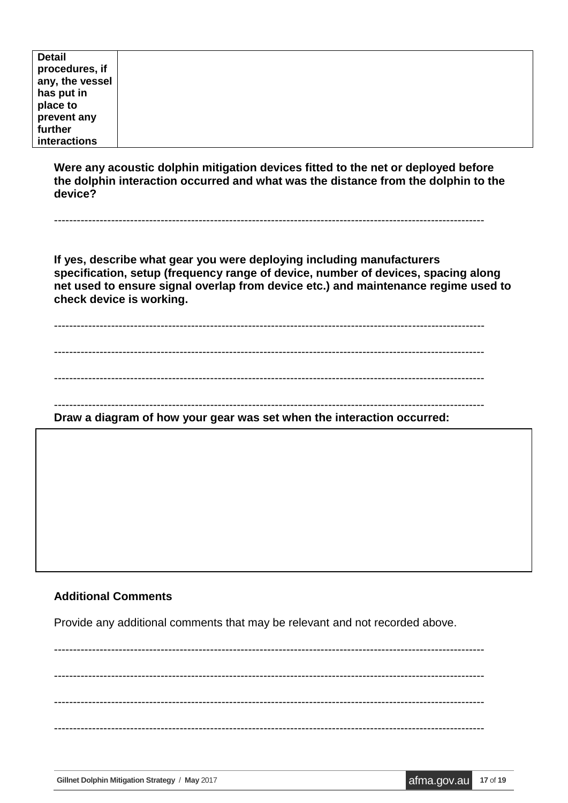| <b>Detail</b>   |  |
|-----------------|--|
| procedures, if  |  |
| any, the vessel |  |
| has put in      |  |
| place to        |  |
| prevent any     |  |
| further         |  |
| interactions    |  |

**Were any acoustic dolphin mitigation devices fitted to the net or deployed before the dolphin interaction occurred and what was the distance from the dolphin to the device?** 

-----------------------------------------------------------------------------------------------------------------

**If yes, describe what gear you were deploying including manufacturers specification, setup (frequency range of device, number of devices, spacing along net used to ensure signal overlap from device etc.) and maintenance regime used to check device is working.** 

-----------------------------------------------------------------------------------------------------------------

-----------------------------------------------------------------------------------------------------------------

-----------------------------------------------------------------------------------------------------------------

-----------------------------------------------------------------------------------------------------------------

**Draw a diagram of how your gear was set when the interaction occurred:** 

#### **Additional Comments**

Provide any additional comments that may be relevant and not recorded above.

----------------------------------------------------------------------------------------------------------------- ----------------------------------------------------------------------------------------------------------------- ----------------------------------------------------------------------------------------------------------------- -----------------------------------------------------------------------------------------------------------------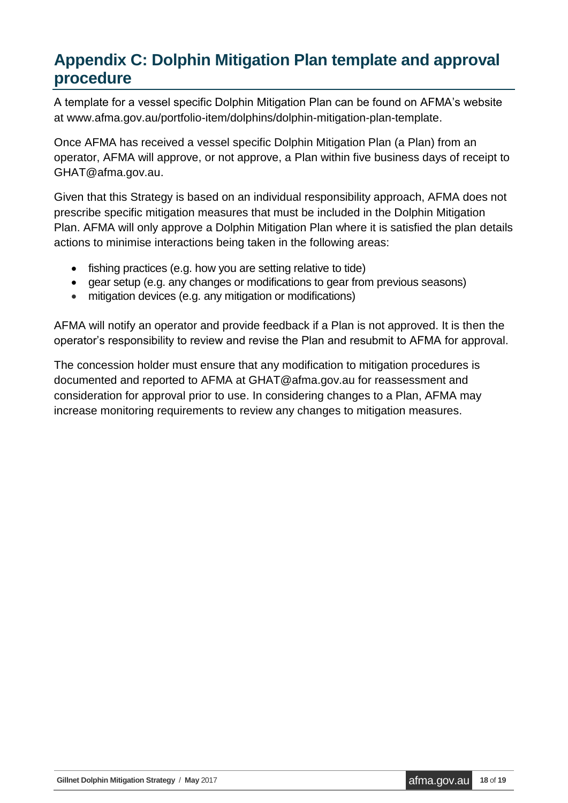## <span id="page-17-0"></span>**Appendix C: Dolphin Mitigation Plan template and approval procedure**

A template for a vessel specific Dolphin Mitigation Plan can be found on AFMA's website at www.afma.gov.au/portfolio-item/dolphins/dolphin-mitigation-plan-template.

Once AFMA has received a vessel specific Dolphin Mitigation Plan (a Plan) from an operator, AFMA will approve, or not approve, a Plan within five business days of receipt to GHAT@afma.gov.au.

Given that this Strategy is based on an individual responsibility approach, AFMA does not prescribe specific mitigation measures that must be included in the Dolphin Mitigation Plan. AFMA will only approve a Dolphin Mitigation Plan where it is satisfied the plan details actions to minimise interactions being taken in the following areas:

- fishing practices (e.g. how you are setting relative to tide)
- gear setup (e.g. any changes or modifications to gear from previous seasons)
- mitigation devices (e.g. any mitigation or modifications)

AFMA will notify an operator and provide feedback if a Plan is not approved. It is then the operator's responsibility to review and revise the Plan and resubmit to AFMA for approval.

The concession holder must ensure that any modification to mitigation procedures is documented and reported to AFMA at GHAT@afma.gov.au for reassessment and consideration for approval prior to use. In considering changes to a Plan, AFMA may increase monitoring requirements to review any changes to mitigation measures.